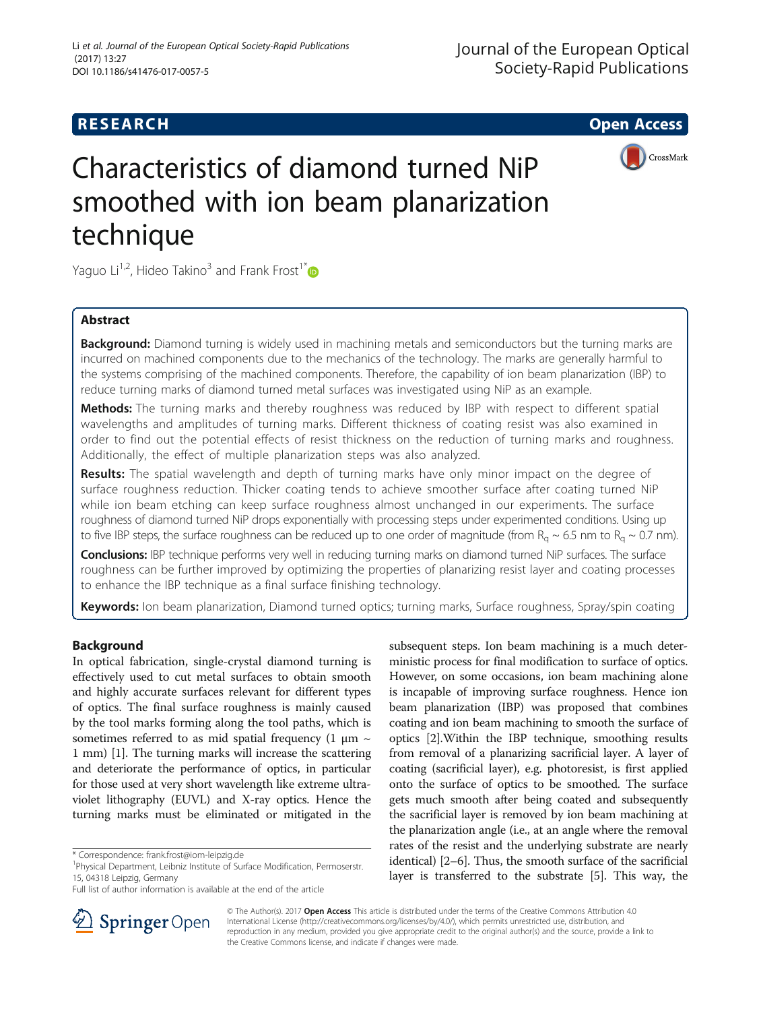# **RESEARCH CHE Open Access**



# Characteristics of diamond turned NiP smoothed with ion beam planarization technique

Yaguo Li<sup>1,2</sup>, Hideo Takino<sup>3</sup> and Frank Frost<sup>1\*</sup>

# Abstract

Background: Diamond turning is widely used in machining metals and semiconductors but the turning marks are incurred on machined components due to the mechanics of the technology. The marks are generally harmful to the systems comprising of the machined components. Therefore, the capability of ion beam planarization (IBP) to reduce turning marks of diamond turned metal surfaces was investigated using NiP as an example.

Methods: The turning marks and thereby roughness was reduced by IBP with respect to different spatial wavelengths and amplitudes of turning marks. Different thickness of coating resist was also examined in order to find out the potential effects of resist thickness on the reduction of turning marks and roughness. Additionally, the effect of multiple planarization steps was also analyzed.

Results: The spatial wavelength and depth of turning marks have only minor impact on the degree of surface roughness reduction. Thicker coating tends to achieve smoother surface after coating turned NiP while ion beam etching can keep surface roughness almost unchanged in our experiments. The surface roughness of diamond turned NiP drops exponentially with processing steps under experimented conditions. Using up to five IBP steps, the surface roughness can be reduced up to one order of magnitude (from  $R_q \sim 6.5$  nm to  $R_q \sim 0.7$  nm).

Conclusions: IBP technique performs very well in reducing turning marks on diamond turned NiP surfaces. The surface roughness can be further improved by optimizing the properties of planarizing resist layer and coating processes to enhance the IBP technique as a final surface finishing technology.

Keywords: Ion beam planarization, Diamond turned optics; turning marks, Surface roughness, Spray/spin coating

# Background

In optical fabrication, single-crystal diamond turning is effectively used to cut metal surfaces to obtain smooth and highly accurate surfaces relevant for different types of optics. The final surface roughness is mainly caused by the tool marks forming along the tool paths, which is sometimes referred to as mid spatial frequency (1  $\mu$ m  $\sim$ 1 mm) [\[1](#page-4-0)]. The turning marks will increase the scattering and deteriorate the performance of optics, in particular for those used at very short wavelength like extreme ultraviolet lithography (EUVL) and X-ray optics. Hence the turning marks must be eliminated or mitigated in the

subsequent steps. Ion beam machining is a much deterministic process for final modification to surface of optics. However, on some occasions, ion beam machining alone is incapable of improving surface roughness. Hence ion beam planarization (IBP) was proposed that combines coating and ion beam machining to smooth the surface of optics [[2\]](#page-4-0).Within the IBP technique, smoothing results from removal of a planarizing sacrificial layer. A layer of coating (sacrificial layer), e.g. photoresist, is first applied onto the surface of optics to be smoothed. The surface gets much smooth after being coated and subsequently the sacrificial layer is removed by ion beam machining at the planarization angle (i.e., at an angle where the removal rates of the resist and the underlying substrate are nearly identical) [\[2](#page-4-0)–[6](#page-4-0)]. Thus, the smooth surface of the sacrificial layer is transferred to the substrate [\[5\]](#page-4-0). This way, the



© The Author(s). 2017 Open Access This article is distributed under the terms of the Creative Commons Attribution 4.0 International License ([http://creativecommons.org/licenses/by/4.0/\)](http://creativecommons.org/licenses/by/4.0/), which permits unrestricted use, distribution, and reproduction in any medium, provided you give appropriate credit to the original author(s) and the source, provide a link to the Creative Commons license, and indicate if changes were made.

<sup>\*</sup> Correspondence: [frank.frost@iom-leipzig.de](mailto:frank.frost@iom-leipzig.de) <sup>1</sup>

<sup>&</sup>lt;sup>1</sup>Physical Department, Leibniz Institute of Surface Modification, Permoserstr. 15, 04318 Leipzig, Germany

Full list of author information is available at the end of the article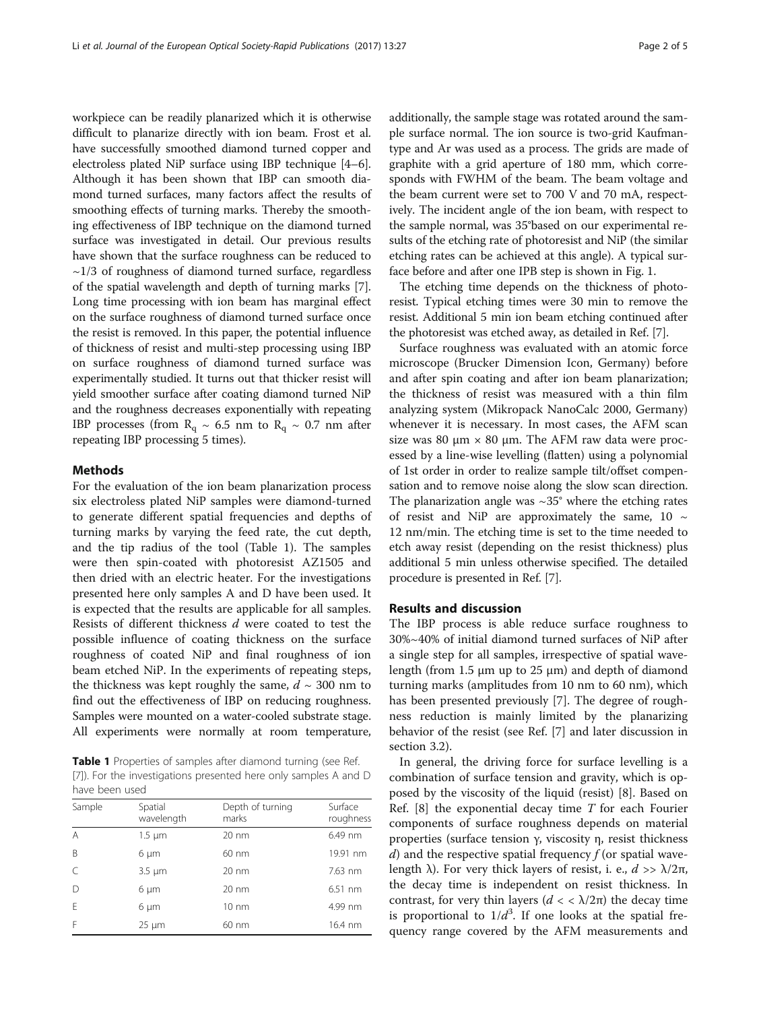workpiece can be readily planarized which it is otherwise difficult to planarize directly with ion beam. Frost et al. have successfully smoothed diamond turned copper and electroless plated NiP surface using IBP technique [[4](#page-4-0)–[6](#page-4-0)]. Although it has been shown that IBP can smooth diamond turned surfaces, many factors affect the results of smoothing effects of turning marks. Thereby the smoothing effectiveness of IBP technique on the diamond turned surface was investigated in detail. Our previous results have shown that the surface roughness can be reduced to  $\sim$ 1/3 of roughness of diamond turned surface, regardless of the spatial wavelength and depth of turning marks [[7](#page-4-0)]. Long time processing with ion beam has marginal effect on the surface roughness of diamond turned surface once the resist is removed. In this paper, the potential influence of thickness of resist and multi-step processing using IBP on surface roughness of diamond turned surface was experimentally studied. It turns out that thicker resist will yield smoother surface after coating diamond turned NiP and the roughness decreases exponentially with repeating IBP processes (from  $R_q \sim 6.5$  nm to  $R_q \sim 0.7$  nm after repeating IBP processing 5 times).

# Methods

For the evaluation of the ion beam planarization process six electroless plated NiP samples were diamond-turned to generate different spatial frequencies and depths of turning marks by varying the feed rate, the cut depth, and the tip radius of the tool (Table 1). The samples were then spin-coated with photoresist AZ1505 and then dried with an electric heater. For the investigations presented here only samples A and D have been used. It is expected that the results are applicable for all samples. Resists of different thickness d were coated to test the possible influence of coating thickness on the surface roughness of coated NiP and final roughness of ion beam etched NiP. In the experiments of repeating steps, the thickness was kept roughly the same,  $d \sim 300$  nm to find out the effectiveness of IBP on reducing roughness. Samples were mounted on a water-cooled substrate stage. All experiments were normally at room temperature,

Table 1 Properties of samples after diamond turning (see Ref. [\[7](#page-4-0)]). For the investigations presented here only samples A and D have been used

| Sample       | Spatial<br>wavelength | Depth of turning<br>marks | Surface<br>roughness |
|--------------|-----------------------|---------------------------|----------------------|
| A            | $1.5 \mu m$           | $20 \text{ nm}$           | 6.49 nm              |
| <sub>B</sub> | $6 \mu m$             | 60 nm                     | 19.91 nm             |
| $\subset$    | $3.5 \mu m$           | $20 \text{ nm}$           | 7.63 nm              |
| $\bigcap$    | $6 \mu m$             | $20 \text{ nm}$           | $6.51$ nm            |
| E            | 6 um                  | $10 \text{ nm}$           | 4.99 nm              |
| F            | $25 \mu m$            | 60 nm                     | 16.4 nm              |

additionally, the sample stage was rotated around the sample surface normal. The ion source is two-grid Kaufmantype and Ar was used as a process. The grids are made of graphite with a grid aperture of 180 mm, which corresponds with FWHM of the beam. The beam voltage and the beam current were set to 700 V and 70 mA, respectively. The incident angle of the ion beam, with respect to the sample normal, was 35°based on our experimental results of the etching rate of photoresist and NiP (the similar etching rates can be achieved at this angle). A typical surface before and after one IPB step is shown in Fig. [1.](#page-2-0)

The etching time depends on the thickness of photoresist. Typical etching times were 30 min to remove the resist. Additional 5 min ion beam etching continued after the photoresist was etched away, as detailed in Ref. [[7](#page-4-0)].

Surface roughness was evaluated with an atomic force microscope (Brucker Dimension Icon, Germany) before and after spin coating and after ion beam planarization; the thickness of resist was measured with a thin film analyzing system (Mikropack NanoCalc 2000, Germany) whenever it is necessary. In most cases, the AFM scan size was 80  $\mu$ m × 80  $\mu$ m. The AFM raw data were processed by a line-wise levelling (flatten) using a polynomial of 1st order in order to realize sample tilt/offset compensation and to remove noise along the slow scan direction. The planarization angle was  $\sim$ 35 $^{\circ}$  where the etching rates of resist and NiP are approximately the same,  $10 \sim$ 12 nm/min. The etching time is set to the time needed to etch away resist (depending on the resist thickness) plus additional 5 min unless otherwise specified. The detailed procedure is presented in Ref. [[7](#page-4-0)].

# Results and discussion

The IBP process is able reduce surface roughness to 30%~40% of initial diamond turned surfaces of NiP after a single step for all samples, irrespective of spatial wavelength (from 1.5 μm up to 25 μm) and depth of diamond turning marks (amplitudes from 10 nm to 60 nm), which has been presented previously [[7\]](#page-4-0). The degree of roughness reduction is mainly limited by the planarizing behavior of the resist (see Ref. [[7\]](#page-4-0) and later discussion in section 3.2).

In general, the driving force for surface levelling is a combination of surface tension and gravity, which is opposed by the viscosity of the liquid (resist) [\[8](#page-4-0)]. Based on Ref.  $[8]$  $[8]$  the exponential decay time  $T$  for each Fourier components of surface roughness depends on material properties (surface tension γ, viscosity η, resist thickness d) and the respective spatial frequency  $f$  (or spatial wavelength  $\lambda$ ). For very thick layers of resist, i. e.,  $d \gg \lambda/2\pi$ , the decay time is independent on resist thickness. In contrast, for very thin layers ( $d < \lambda/2\pi$ ) the decay time is proportional to  $1/d^3$ . If one looks at the spatial frequency range covered by the AFM measurements and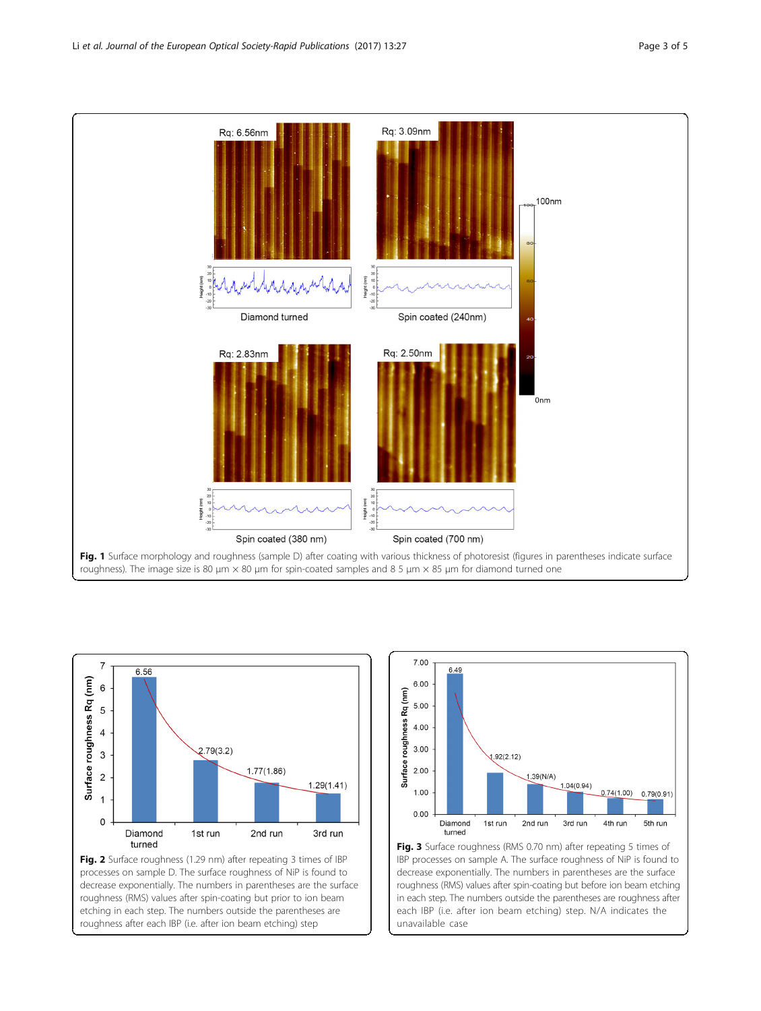<span id="page-2-0"></span>







Fig. 3 Surface roughness (RMS 0.70 nm) after repeating 5 times of IBP processes on sample A. The surface roughness of NiP is found to decrease exponentially. The numbers in parentheses are the surface roughness (RMS) values after spin-coating but before ion beam etching in each step. The numbers outside the parentheses are roughness after each IBP (i.e. after ion beam etching) step. N/A indicates the unavailable case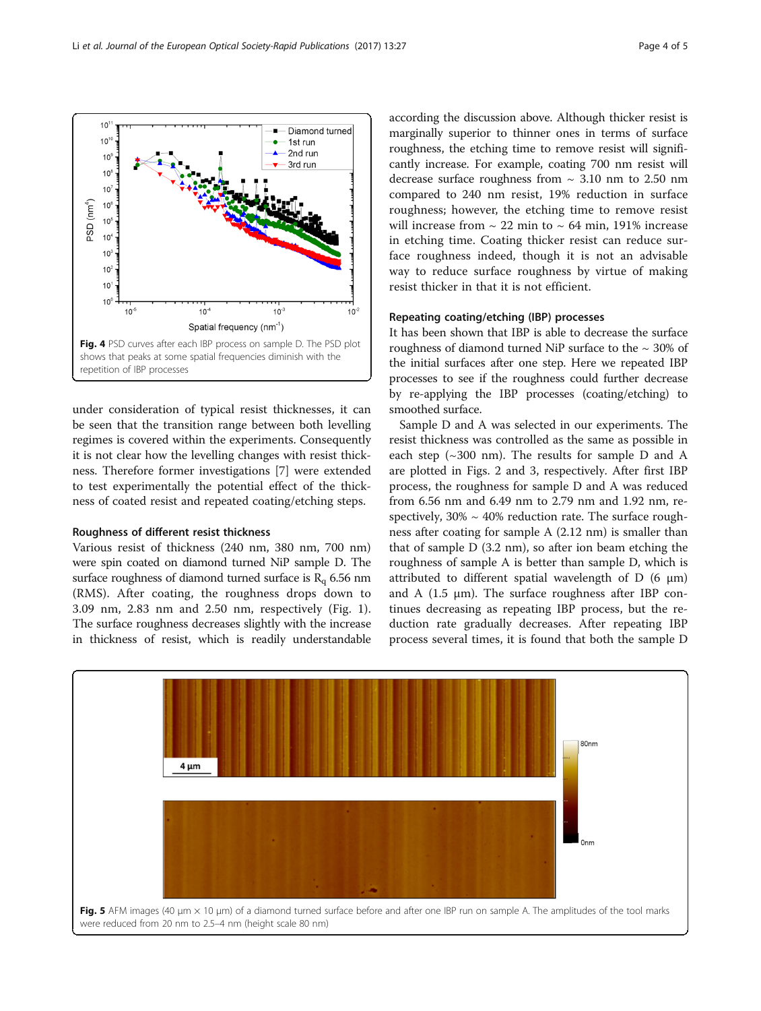<span id="page-3-0"></span>Li et al. Journal of the European Optical Society-Rapid Publications (2017) 13:27 Page 4 of 5



under consideration of typical resist thicknesses, it can be seen that the transition range between both levelling regimes is covered within the experiments. Consequently it is not clear how the levelling changes with resist thickness. Therefore former investigations [\[7](#page-4-0)] were extended to test experimentally the potential effect of the thickness of coated resist and repeated coating/etching steps.

# Roughness of different resist thickness

Various resist of thickness (240 nm, 380 nm, 700 nm) were spin coated on diamond turned NiP sample D. The surface roughness of diamond turned surface is  $R_q$  6.56 nm (RMS). After coating, the roughness drops down to 3.09 nm, 2.83 nm and 2.50 nm, respectively (Fig. [1](#page-2-0)). The surface roughness decreases slightly with the increase in thickness of resist, which is readily understandable according the discussion above. Although thicker resist is marginally superior to thinner ones in terms of surface roughness, the etching time to remove resist will significantly increase. For example, coating 700 nm resist will decrease surface roughness from  $\sim$  3.10 nm to 2.50 nm compared to 240 nm resist, 19% reduction in surface roughness; however, the etching time to remove resist will increase from  $\sim$  22 min to  $\sim$  64 min, 191% increase in etching time. Coating thicker resist can reduce surface roughness indeed, though it is not an advisable way to reduce surface roughness by virtue of making resist thicker in that it is not efficient.

# Repeating coating/etching (IBP) processes

It has been shown that IBP is able to decrease the surface roughness of diamond turned NiP surface to the  $\sim$  30% of the initial surfaces after one step. Here we repeated IBP processes to see if the roughness could further decrease by re-applying the IBP processes (coating/etching) to smoothed surface.

Sample D and A was selected in our experiments. The resist thickness was controlled as the same as possible in each step (~300 nm). The results for sample D and A are plotted in Figs. [2](#page-2-0) and [3,](#page-2-0) respectively. After first IBP process, the roughness for sample D and A was reduced from 6.56 nm and 6.49 nm to 2.79 nm and 1.92 nm, respectively,  $30\% \sim 40\%$  reduction rate. The surface roughness after coating for sample A (2.12 nm) is smaller than that of sample D (3.2 nm), so after ion beam etching the roughness of sample A is better than sample D, which is attributed to different spatial wavelength of  $D$  (6  $\mu$ m) and A  $(1.5 \mu m)$ . The surface roughness after IBP continues decreasing as repeating IBP process, but the reduction rate gradually decreases. After repeating IBP process several times, it is found that both the sample D